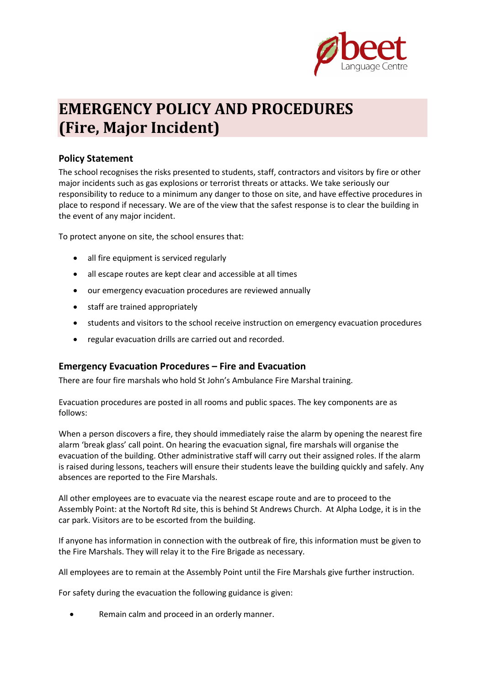

# **EMERGENCY POLICY AND PROCEDURES (Fire, Major Incident)**

## **Policy Statement**

The school recognises the risks presented to students, staff, contractors and visitors by fire or other major incidents such as gas explosions or terrorist threats or attacks. We take seriously our responsibility to reduce to a minimum any danger to those on site, and have effective procedures in place to respond if necessary. We are of the view that the safest response is to clear the building in the event of any major incident.

To protect anyone on site, the school ensures that:

- all fire equipment is serviced regularly
- all escape routes are kept clear and accessible at all times
- our emergency evacuation procedures are reviewed annually
- staff are trained appropriately
- students and visitors to the school receive instruction on emergency evacuation procedures
- regular evacuation drills are carried out and recorded.

### **Emergency Evacuation Procedures – Fire and Evacuation**

There are four fire marshals who hold St John's Ambulance Fire Marshal training.

Evacuation procedures are posted in all rooms and public spaces. The key components are as follows:

When a person discovers a fire, they should immediately raise the alarm by opening the nearest fire alarm 'break glass' call point. On hearing the evacuation signal, fire marshals will organise the evacuation of the building. Other administrative staff will carry out their assigned roles. If the alarm is raised during lessons, teachers will ensure their students leave the building quickly and safely. Any absences are reported to the Fire Marshals.

All other employees are to evacuate via the nearest escape route and are to proceed to the Assembly Point: at the Nortoft Rd site, this is behind St Andrews Church. At Alpha Lodge, it is in the car park. Visitors are to be escorted from the building.

If anyone has information in connection with the outbreak of fire, this information must be given to the Fire Marshals. They will relay it to the Fire Brigade as necessary.

All employees are to remain at the Assembly Point until the Fire Marshals give further instruction.

For safety during the evacuation the following guidance is given:

• Remain calm and proceed in an orderly manner.